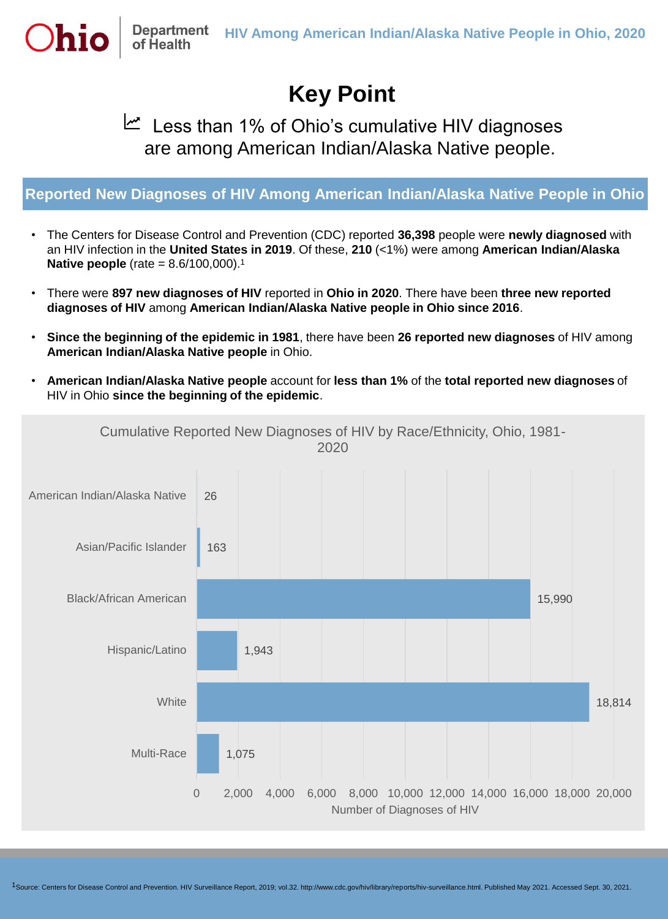

## **Key Point**

Less than 1% of Ohio's cumulative HIV diagnoses are among American Indian/Alaska Native people.

## **Reported New Diagnoses of HIV Among American Indian/Alaska Native People in Ohio**

- The Centers for Disease Control and Prevention (CDC) reported **36,398** people were **newly diagnosed** with an HIV infection in the **United States in 2019**. Of these, **210** (<1%) were among **American Indian/Alaska Native people** (rate = 8.6/100,000).<sup>1</sup>
- There were **897 new diagnoses of HIV** reported in **Ohio in 2020**. There have been **three new reported diagnoses of HIV** among **American Indian/Alaska Native people in Ohio since 2016**.
- **Since the beginning of the epidemic in 1981**, there have been **26 reported new diagnoses** of HIV among **American Indian/Alaska Native people** in Ohio.
- **American Indian/Alaska Native people** account for **less than 1%** of the **total reported new diagnoses** of HIV in Ohio **since the beginning of the epidemic**.